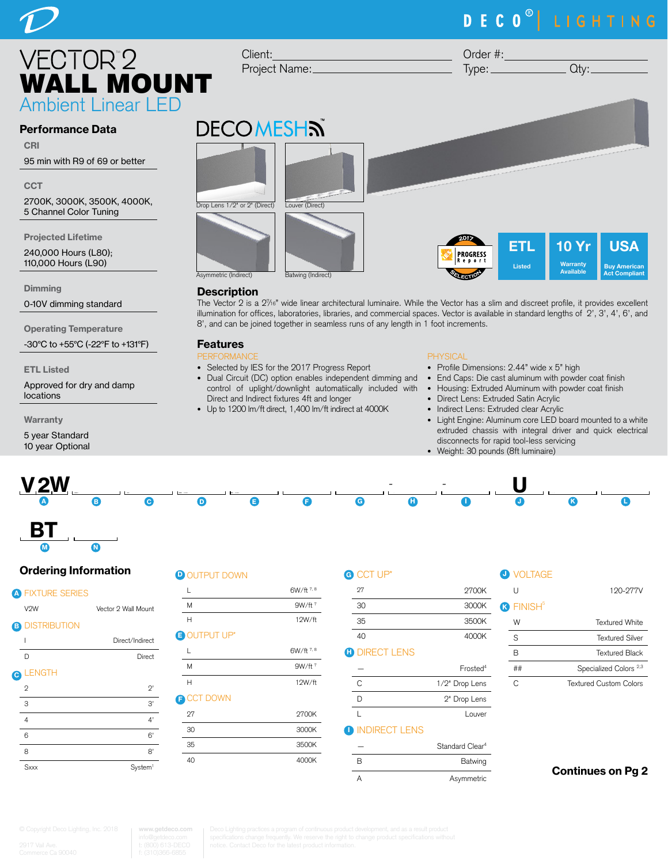# DECO<sup>®</sup> LIGHTING

Order #:

 $Type:$   $Qty:$ 



#### Performance Data

CRI

95 min with R9 of 69 or better

**CCT** 

2700K, 3000K, 3500K, 4000K, 5 Channel Color Tuning

Projected Lifetime

240,000 Hours (L80); 110,000 Hours (L90)

**Dimming** 

0-10V dimming standard

Operating Temperature

-30°C to +55°C (-22°F to +131°F)

ETL Listed

Approved for dry and damp locations

**Warranty** 

5 year Standard 10 year Optional



#### **Description**

Client:

Project Name:

The Vector 2 is a 27 /16" wide linear architectural luminaire. While the Vector has a slim and discreet profile, it provides excellent illumination for offices, laboratories, libraries, and commercial spaces. Vector is available in standard lengths of 2', 3', 4', 6', and 8', and can be joined together in seamless runs of any length in 1 foot increments.

#### Features

- PERFORMANCE • Selected by IES for the 2017 Progress Report
- Dual Circuit (DC) option enables independent dimming and control of uplight/downlight automatiically included with Direct and Indirect fixtures 4ft and longer
- Up to 1200 lm/ft direct, 1,400 lm/ft indirect at 4000K

#### PHYSICAL

- Profile Dimensions: 2.44" wide x 5" high
- End Caps: Die cast aluminum with powder coat finish
- Housing: Extruded Aluminum with powder coat finish
- Direct Lens: Extruded Satin Acrylic
- Indirect Lens: Extruded clear Acrylic
- Light Engine: Aluminum core LED board mounted to a white extruded chassis with integral driver and quick electrical disconnects for rapid tool-less servicing
- Weight: 30 pounds (8ft luminaire)



#### Ordering Information

 $\overline{\bullet}$  (

#### **A FIXTURE SERIES**

| Vector 2 Wall Mour |
|--------------------|

N

|   | V <sub>2</sub> W      | Vector 2 Wall Mount |
|---|-----------------------|---------------------|
|   | <b>B DISTRIBUTION</b> |                     |
|   | ı                     | Direct/Indirect     |
|   | D                     | Direct              |
| O | <b>LENGTH</b>         |                     |
|   | $\overline{2}$        | $2^{\circ}$         |
|   | 3                     | 3,                  |
|   | 4                     | 4'                  |
|   | 6                     | 6'                  |
|   | 8                     | 8'                  |
|   | Sxxx                  | System <sup>1</sup> |

### **D** OUTPUT DOWN

| L                  | 6W/ft 7.8          |
|--------------------|--------------------|
|                    |                    |
| M                  | 9W/ft <sup>7</sup> |
| Н                  | 12W/ft             |
| <b>BOUTPUT UP*</b> |                    |
| L                  | 6W/ft 7.8          |
| M                  | $9W/ft^7$          |
| Н                  | 12W/ft             |
| <b>B CCT DOWN</b>  |                    |
| 27                 | 2700K              |
| 30                 | 3000K              |
| 35                 | 3500K              |
| 40                 | 4000K              |
|                    |                    |

| G) | CCT UP*              |                             | <b>O</b> VOLTAGE             |                                   |
|----|----------------------|-----------------------------|------------------------------|-----------------------------------|
|    | 27                   | 2700K                       | U                            | 120-277V                          |
|    | 30                   | 3000K                       | <b>R</b> FINISH <sup>5</sup> |                                   |
|    | 35                   | 3500K                       | W                            | <b>Textured White</b>             |
|    | 40                   | 4000K                       | S                            | <b>Textured Silver</b>            |
| Ð  | <b>DIRECT LENS</b>   |                             | B                            | <b>Textured Black</b>             |
|    |                      | Frosted <sup>4</sup>        | ##                           | Specialized Colors <sup>2,3</sup> |
|    | C                    | 1/2" Drop Lens              | C                            | <b>Textured Custom Colors</b>     |
|    | D                    | 2" Drop Lens                |                              |                                   |
|    |                      | Louver                      |                              |                                   |
|    | <b>INDIRECT LENS</b> |                             |                              |                                   |
|    |                      | Standard Clear <sup>4</sup> |                              |                                   |
|    | B                    | Batwing                     |                              |                                   |

A Asymmetric

### Continues on Pg 2

**www.getdeco.com**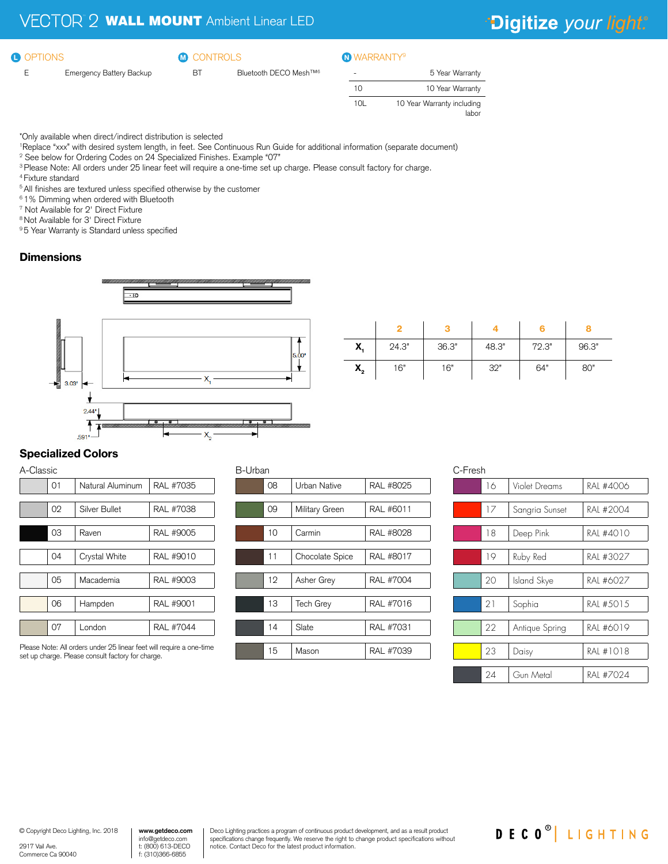#### **O** OPTIONS

#### **CONTROLS**  $\bullet$  options  $\bullet$   $\bullet$  controls  $\bullet$  warranty  $\bullet$

- E Emergency Battery Backup
- BT Bluetooth DECO Mesh™<sup>6</sup>

| 5 Year Warranty                     |
|-------------------------------------|
| 10 Year Warranty                    |
| 10 Year Warranty including<br>labor |
|                                     |

\*Only available when direct/indirect distribution is selected

1 Replace "xxx" with desired system length, in feet. See Continuous Run Guide for additional information (separate document)

- 2 See below for Ordering Codes on 24 Specialized Finishes. Example "07"
- 3 Please Note: All orders under 25 linear feet will require a one-time set up charge. Please consult factory for charge.
- 4 Fixture standard
- <sup>5</sup> All finishes are textured unless specified otherwise by the customer
- 6 1% Dimming when ordered with Bluetooth
- 7 Not Available for 2' Direct Fixture
- 8 Not Available for 3' Direct Fixture

<sup>9</sup> 5 Year Warranty is Standard unless specified

#### **Dimensions**



| X,                                   | 24.3" | 36.3" | 48.3" | 72.3" | 96.3" |
|--------------------------------------|-------|-------|-------|-------|-------|
| $\mathsf{X}_{\scriptscriptstyle{2}}$ | 16"   | 16"   | 32"   | 64"   | 80"   |

#### Specialized Colors

| A-Classic |    |                  |           |
|-----------|----|------------------|-----------|
|           | 01 | Natural Aluminum | RAL #7035 |
|           |    |                  |           |
|           | 02 | Silver Bullet    | RAL #7038 |
|           |    |                  |           |
|           | 03 | Raven            | RAL #9005 |
|           |    |                  |           |
|           | 04 | Crystal White    | RAL #9010 |
|           |    |                  |           |
|           | 05 | Macademia        | RAL #9003 |
|           |    |                  |           |
|           | 06 | Hampden          | RAL #9001 |
|           |    |                  |           |
|           | 07 | London           | RAL #7044 |
|           |    |                  |           |

Please Note: All orders under 25 linear feet will require a one-time set up charge. Please consult factory for charge.

#### B-Urban

| 08 | <b>Urban Native</b> | RAL #8025 |
|----|---------------------|-----------|
|    |                     |           |
| 09 | Military Green      | RAL #6011 |
|    |                     |           |
| 10 | Carmin              | RAL #8028 |
|    |                     |           |
| 11 | Chocolate Spice     | RAL #8017 |
|    |                     |           |
| 12 | Asher Grey          | RAL #7004 |
|    |                     |           |
| 13 | <b>Tech Grey</b>    | RAL #7016 |
|    |                     |           |
| 14 | Slate               | RAL #7031 |
|    |                     |           |
| 15 | Mason               | RAL #7039 |
|    |                     |           |

| C-Fresh |                |                |  |
|---------|----------------|----------------|--|
| 16      | Violet Dreams  | RAI #4006      |  |
|         |                |                |  |
|         |                | RAI #2004      |  |
|         |                |                |  |
| 18      | Deep Pink      | RAI #4010      |  |
|         |                |                |  |
| 19      | Ruby Red       | RAI #3027      |  |
|         |                |                |  |
| 20      | Island Skye    | RAI #6027      |  |
|         |                |                |  |
| 21      | Sophia         | RAL #5015      |  |
|         |                |                |  |
| 22      | Antique Spring | RAL #6019      |  |
|         |                |                |  |
| 23      | Daisy          | RAL #1018      |  |
|         |                |                |  |
| 24      | Gun Metal      | RAI #7024      |  |
|         | 17             | Sangria Sunset |  |

DECO<sup>®</sup> LIGHTING

© Copyright Deco Lighting, Inc. 2018

2917 Vail Ave. Commerce Ca 90040 Deco Lighting practices a program of continuous product development, and as a result product specifications change frequently. We reserve the right to change product specifications without notice. Contact Deco for the latest product information.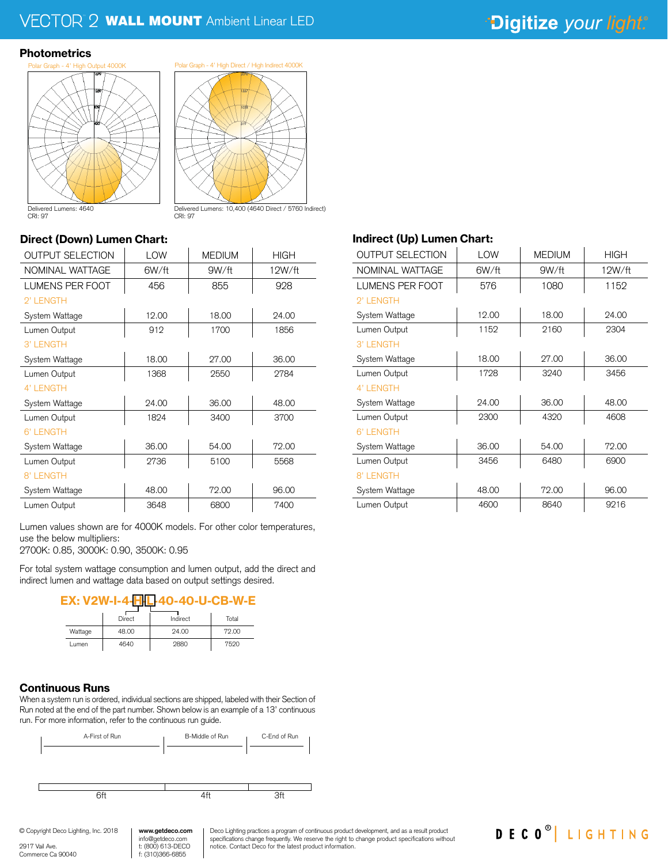### <sup>2</sup> WALL MOUNT Ambient Linear LED

### "Digitize your light."

#### **Photometrics**



Delivered Lumens: 10,400 (4640 Direct / 5760 Indirect)

CRI: 97

#### Direct (Down) Lumen Chart:

| <b>OUTPUT SELECTION</b> | LOW   | <b>MEDIUM</b> | <b>HIGH</b> |
|-------------------------|-------|---------------|-------------|
| NOMINAL WATTAGE         | 6W/ft | 9W/ft         | 12W/ft      |
| <b>LUMENS PER FOOT</b>  | 456   | 855           | 928         |
| 2' LENGTH               |       |               |             |
| System Wattage          | 12.00 | 18.00         | 24.00       |
| Lumen Output            | 912   | 1700          | 1856        |
| 3' LENGTH               |       |               |             |
| System Wattage          | 18.00 | 27.00         | 36.00       |
| Lumen Output            | 1368  | 2550          | 2784        |
| 4' LENGTH               |       |               |             |
| System Wattage          | 24.00 | 36.00         | 48.00       |
| Lumen Output            | 1824  | 3400          | 3700        |
| 6' LENGTH               |       |               |             |
| System Wattage          | 36.00 | 54.00         | 72.00       |
| Lumen Output            | 2736  | 5100          | 5568        |
| 8' LENGTH               |       |               |             |
| System Wattage          | 48.00 | 72.00         | 96.00       |
| Lumen Output            | 3648  | 6800          | 7400        |

CRI: 97

Lumen values shown are for 4000K models. For other color temperatures, use the below multipliers:

2700K: 0.85, 3000K: 0.90, 3500K: 0.95

For total system wattage consumption and lumen output, add the direct and indirect lumen and wattage data based on output settings desired.



|         | Direct | Indirect | Total |
|---------|--------|----------|-------|
| Wattage | 48.00  | 24.00    | 72.00 |
| Lumen   | 4640   | 2880     | 7520  |

#### Continuous Runs

When a system run is ordered, individual sections are shipped, labeled with their Section of Run noted at the end of the part number. Shown below is an example of a 13' continuous run. For more information, refer to the continuous run guide.



f: (310)366-6855

Deco Lighting practices a program of continuous product development, and as a result product specifications change frequently. We reserve the right to change product specifications without specifications without

#### Indirect (Up) Lumen Chart:

| <b>OUTPUT SELECTION</b> | LOW   | <b>MEDIUM</b> | <b>HIGH</b> |
|-------------------------|-------|---------------|-------------|
| NOMINAL WATTAGE         | 6W/ft | 9W/ft         | 12W/ft      |
| <b>LUMENS PER FOOT</b>  | 576   | 1080          | 1152        |
| 2' LENGTH               |       |               |             |
| System Wattage          | 12.00 | 18.00         | 24.00       |
| Lumen Output            | 1152  | 2160          | 2304        |
| 3' LENGTH               |       |               |             |
| System Wattage          | 18.00 | 27.00         | 36.00       |
| Lumen Output            | 1728  | 3240          | 3456        |
| 4' I FNGTH              |       |               |             |
| System Wattage          | 24.00 | 36.00         | 48.00       |
| Lumen Output            | 2300  | 4320          | 4608        |
| 6' I FNGTH              |       |               |             |
| System Wattage          | 36.00 | 54.00         | 72.00       |
| Lumen Output            | 3456  | 6480          | 6900        |
| 8' LENGTH               |       |               |             |
| System Wattage          | 48.00 | 72.00         | 96.00       |
| Lumen Output            | 4600  | 8640          | 9216        |